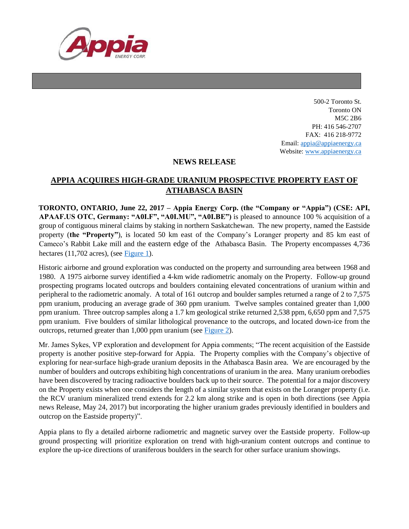

500-2 Toronto St. Toronto ON M5C 2B6 PH: 416 546-2707 FAX: 416 218-9772 Email: appia@appiaenergy.ca Website: www.appiaenergy.ca

## **NEWS RELEASE**

## **APPIA ACQUIRES HIGH-GRADE URANIUM PROSPECTIVE PROPERTY EAST OF ATHABASCA BASIN**

**TORONTO, ONTARIO, June 22, 2017 – Appia Energy Corp. (the "Company or "Appia") (CSE: API, APAAF.US OTC, Germany: "A0I.F", "A0I.MU", "A0I.BE")** is pleased to announce 100 % acquisition of a group of contiguous mineral claims by staking in northern Saskatchewan. The new property, named the Eastside property (**the "Property"**), is located 50 km east of the Company's Loranger property and 85 km east of Cameco's Rabbit Lake mill and the eastern edge of the Athabasca Basin. The Property encompasses 4,736 hectares (11,702 acres), (see [Figure 1\)](http://appiaenergy.ca/_resources/maps/Eastside-Property-Location-Overview-2017.jpg).

Historic airborne and ground exploration was conducted on the property and surrounding area between 1968 and 1980. A 1975 airborne survey identified a 4-km wide radiometric anomaly on the Property. Follow-up ground prospecting programs located outcrops and boulders containing elevated concentrations of uranium within and peripheral to the radiometric anomaly. A total of 161 outcrop and boulder samples returned a range of 2 to 7,575 ppm uranium, producing an average grade of 360 ppm uranium. Twelve samples contained greater than 1,000 ppm uranium. Three outcrop samples along a 1.7 km geological strike returned 2,538 ppm, 6,650 ppm and 7,575 ppm uranium. Five boulders of similar lithological provenance to the outcrops, and located down-ice from the outcrops, returned greater than 1,000 ppm uranium (see [Figure 2\)](http://appiaenergy.ca/_resources/maps/Eastside_Historic-Work-Summary-and-Geology-Overview_2017.jpg).

Mr. James Sykes, VP exploration and development for Appia comments; "The recent acquisition of the Eastside property is another positive step-forward for Appia. The Property complies with the Company's objective of exploring for near-surface high-grade uranium deposits in the Athabasca Basin area. We are encouraged by the number of boulders and outcrops exhibiting high concentrations of uranium in the area. Many uranium orebodies have been discovered by tracing radioactive boulders back up to their source. The potential for a major discovery on the Property exists when one considers the length of a similar system that exists on the Loranger property (i.e. the RCV uranium mineralized trend extends for 2.2 km along strike and is open in both directions (see Appia news Release, May 24, 2017) but incorporating the higher uranium grades previously identified in boulders and outcrop on the Eastside property)".

Appia plans to fly a detailed airborne radiometric and magnetic survey over the Eastside property. Follow-up ground prospecting will prioritize exploration on trend with high-uranium content outcrops and continue to explore the up-ice directions of uraniferous boulders in the search for other surface uranium showings.